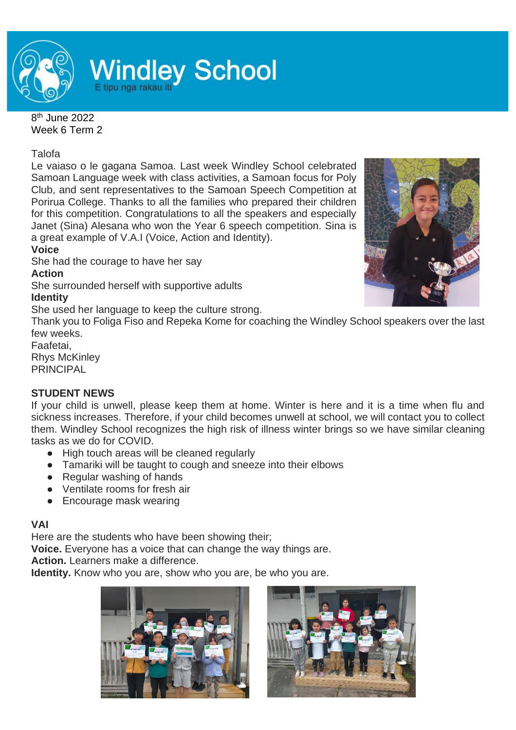

# **Windley School**

8<sup>th</sup> June 2022 Week 6 Term 2

Talofa

Le vaiaso o le gagana Samoa. Last week Windley School celebrated Samoan Language week with class activities, a Samoan focus for Poly Club, and sent representatives to the Samoan Speech Competition at Porirua College. Thanks to all the families who prepared their children for this competition. Congratulations to all the speakers and especially Janet (Sina) Alesana who won the Year 6 speech competition. Sina is a great example of V.A.I (Voice, Action and Identity).

**Voice**

She had the courage to have her say

**Action**

She surrounded herself with supportive adults

# **Identity**

She used her language to keep the culture strong.

Thank you to Foliga Fiso and Repeka Kome for coaching the Windley School speakers over the last few weeks.

Faafetai,

Rhys McKinley PRINCIPAL

# **STUDENT NEWS**

If your child is unwell, please keep them at home. Winter is here and it is a time when flu and sickness increases. Therefore, if your child becomes unwell at school, we will contact you to collect them. Windley School recognizes the high risk of illness winter brings so we have similar cleaning tasks as we do for COVID.

- High touch areas will be cleaned regularly
- Tamariki will be taught to cough and sneeze into their elbows
- Regular washing of hands
- Ventilate rooms for fresh air
- Encourage mask wearing

## **VAI**

Here are the students who have been showing their;

**Voice.** Everyone has a voice that can change the way things are.

**Action.** Learners make a difference.

**Identity.** Know who you are, show who you are, be who you are.